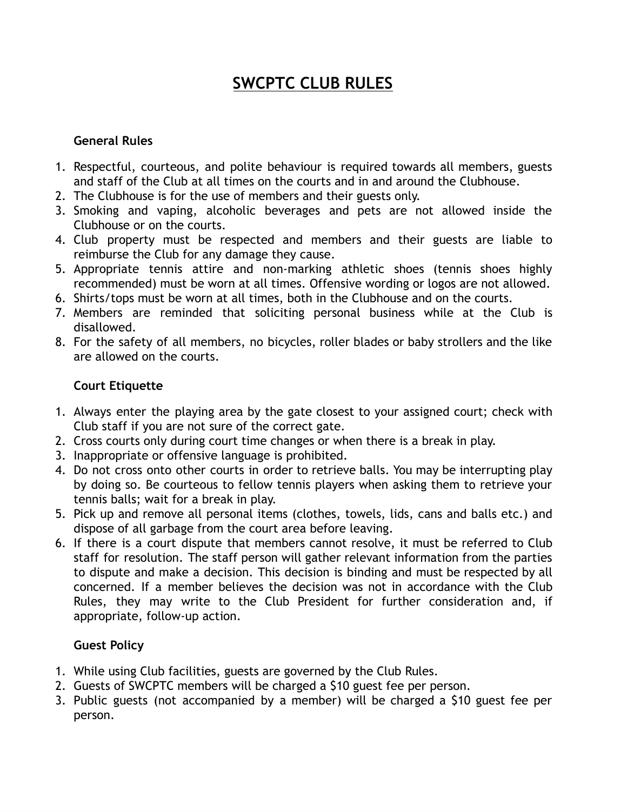# **SWCPTC CLUB RULES**

### **General Rules**

- 1. Respectful, courteous, and polite behaviour is required towards all members, guests and staff of the Club at all times on the courts and in and around the Clubhouse.
- 2. The Clubhouse is for the use of members and their guests only.
- 3. Smoking and vaping, alcoholic beverages and pets are not allowed inside the Clubhouse or on the courts.
- 4. Club property must be respected and members and their guests are liable to reimburse the Club for any damage they cause.
- 5. Appropriate tennis attire and non-marking athletic shoes (tennis shoes highly recommended) must be worn at all times. Offensive wording or logos are not allowed.
- 6. Shirts/tops must be worn at all times, both in the Clubhouse and on the courts.
- 7. Members are reminded that soliciting personal business while at the Club is disallowed.
- 8. For the safety of all members, no bicycles, roller blades or baby strollers and the like are allowed on the courts.

# **Court Etiquette**

- 1. Always enter the playing area by the gate closest to your assigned court; check with Club staff if you are not sure of the correct gate.
- 2. Cross courts only during court time changes or when there is a break in play.
- 3. Inappropriate or offensive language is prohibited.
- 4. Do not cross onto other courts in order to retrieve balls. You may be interrupting play by doing so. Be courteous to fellow tennis players when asking them to retrieve your tennis balls; wait for a break in play.
- 5. Pick up and remove all personal items (clothes, towels, lids, cans and balls etc.) and dispose of all garbage from the court area before leaving.
- 6. If there is a court dispute that members cannot resolve, it must be referred to Club staff for resolution. The staff person will gather relevant information from the parties to dispute and make a decision. This decision is binding and must be respected by all concerned. If a member believes the decision was not in accordance with the Club Rules, they may write to the Club President for further consideration and, if appropriate, follow-up action.

## **Guest Policy**

- 1. While using Club facilities, guests are governed by the Club Rules.
- 2. Guests of SWCPTC members will be charged a \$10 guest fee per person.
- 3. Public guests (not accompanied by a member) will be charged a \$10 guest fee per person.